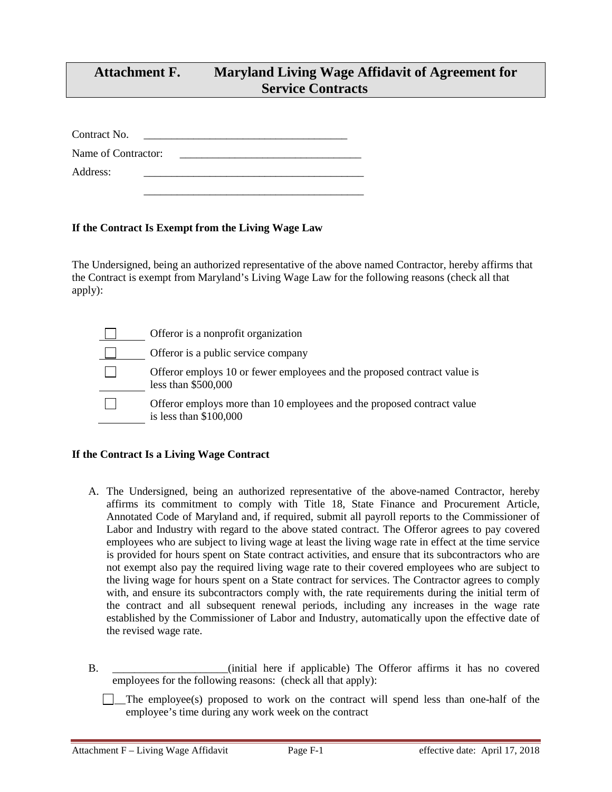## **Attachment F. Maryland Living Wage Affidavit of Agreement for Service Contracts**

Contract No.

Name of Contractor:

\_\_\_\_\_\_\_\_\_\_\_\_\_\_\_\_\_\_\_\_\_\_\_\_\_\_\_\_\_\_\_\_\_\_\_\_\_\_\_\_

Address:

## **If the Contract Is Exempt from the Living Wage Law**

The Undersigned, being an authorized representative of the above named Contractor, hereby affirms that the Contract is exempt from Maryland's Living Wage Law for the following reasons (check all that apply):

| Offeror is a nonprofit organization                                                               |
|---------------------------------------------------------------------------------------------------|
| Offeror is a public service company                                                               |
| Offeror employs 10 or fewer employees and the proposed contract value is<br>less than $$500,000$  |
| Offeror employs more than 10 employees and the proposed contract value<br>is less than $$100,000$ |

## **If the Contract Is a Living Wage Contract**

- A. The Undersigned, being an authorized representative of the above-named Contractor, hereby affirms its commitment to comply with Title 18, State Finance and Procurement Article, Annotated Code of Maryland and, if required, submit all payroll reports to the Commissioner of Labor and Industry with regard to the above stated contract. The Offeror agrees to pay covered employees who are subject to living wage at least the living wage rate in effect at the time service is provided for hours spent on State contract activities, and ensure that its subcontractors who are not exempt also pay the required living wage rate to their covered employees who are subject to the living wage for hours spent on a State contract for services. The Contractor agrees to comply with, and ensure its subcontractors comply with, the rate requirements during the initial term of the contract and all subsequent renewal periods, including any increases in the wage rate established by the Commissioner of Labor and Industry, automatically upon the effective date of the revised wage rate.
- B. \_\_\_\_\_\_\_\_\_\_\_\_\_\_\_\_\_\_\_\_\_(initial here if applicable) The Offeror affirms it has no covered employees for the following reasons: (check all that apply):

 $\Box$  The employee(s) proposed to work on the contract will spend less than one-half of the employee's time during any work week on the contract